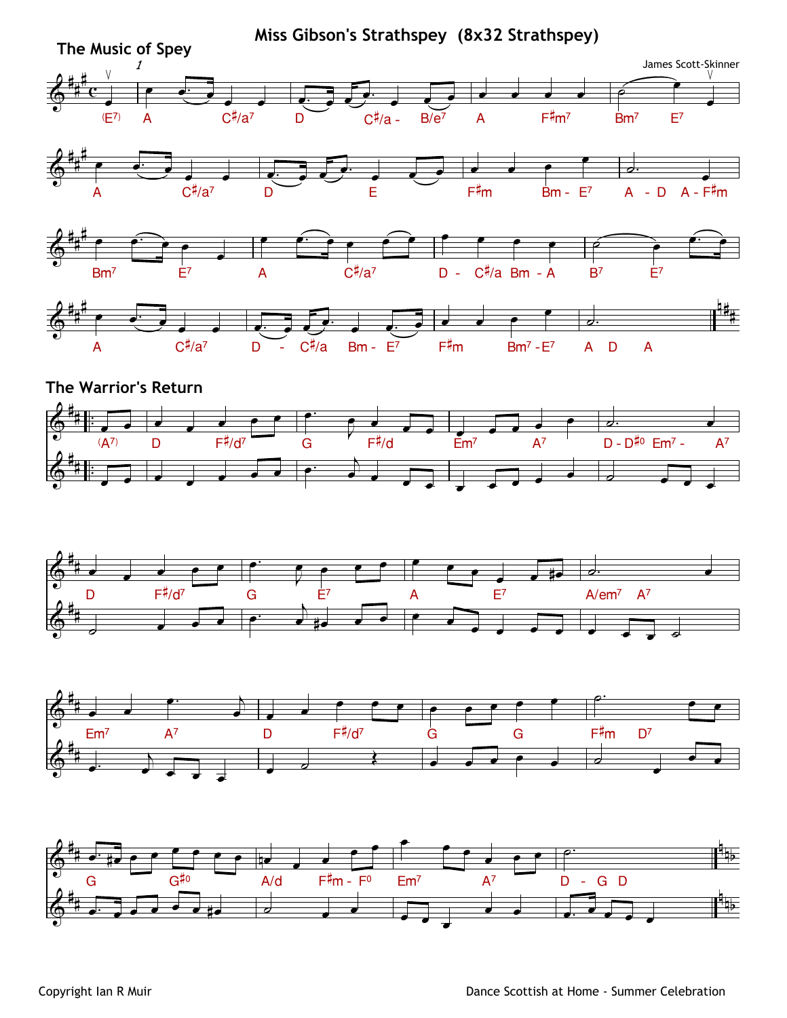